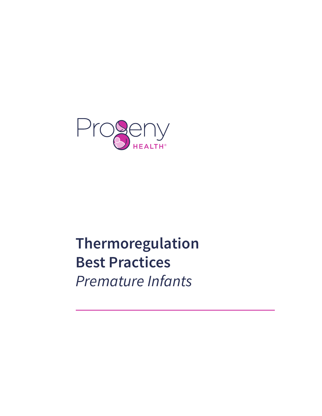

# **Thermoregulation Best Practices**  *Premature Infants*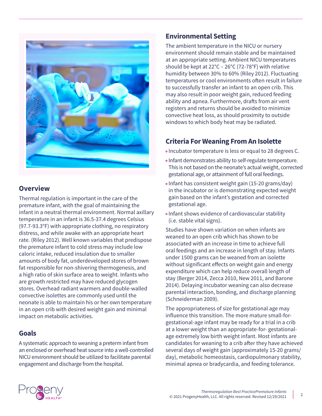

## **Overview**

Thermal regulation is important in the care of the premature infant, with the goal of maintaining the infant in a neutral thermal environment. Normal axillary temperature in an infant is 36.5-37.4 degrees Celsius (97.7-93.3°F) with appropriate clothing, no respiratory distress, and while awake with an appropriate heart rate. (Riley 2012). Well known variables that predispose the premature infant to cold stress may include low caloric intake, reduced insulation due to smaller amounts of body fat, underdeveloped stores of brown fat responsible for non-shivering thermogenesis, and a high ratio of skin surface area to weight. Infants who are growth restricted may have reduced glycogen stores. Overhead radiant warmers and double-walled convective isolettes are commonly used until the neonate is able to maintain his or her own temperature in an open crib with desired weight gain and minimal impact on metabolic activities.

### **Goals**

A systematic approach to weaning a preterm infant from an enclosed or overhead heat source into a well-controlled NICU environment should be utilized to facilitate parental engagement and discharge from the hospital.

## **Environmental Setting**

The ambient temperature in the NICU or nursery environment should remain stable and be maintained at an appropriate setting. Ambient NICU temperatures should be kept at 22°C – 26°C (72-78°F) with relative humidity between 30% to 60% (Riley 2012). Fluctuating temperatures or cool environments often result in failure to successfully transfer an infant to an open crib. This may also result in poor weight gain, reduced feeding ability and apnea. Furthermore, drafts from air vent registers and returns should be avoided to minimize convective heat loss, as should proximity to outside windows to which body heat may be radiated.

## **Criteria For Weaning From An Isolette**

- Incubator temperature is less or equal to 28 degrees C.
- Infant demonstrates ability to self-regulate temperature. This is not based on the neonate's actual weight, corrected gestational age, or attainment of full oral feedings.
- Infant has consistent weight gain (15-20 grams/day) in the incubator or is demonstrating expected weight gain based on the infant's gestation and corrected gestational age.
- Infant shows evidence of cardiovascular stability (i.e. stable vital signs).

Studies have shown variation on when infants are weaned to an open crib which has shown to be associated with an increase in time to achieve full oral feedings and an increase in length of stay. Infants under 1500 grams can be weaned from an isolette without significant effects on weight gain and energy expenditure which can help reduce overall length of stay (Berger 2014, Zecca 2010, New 2011, and Barone 2014). Delaying incubator weaning can also decrease parental interaction, bonding, and discharge planning (Schneiderman 2009).

The appropriateness of size for gestational age may influence this transition. The more mature small-forgestational-age infant may be ready for a trial in a crib at a lower weight than an appropriate-for- gestationalage extremely low birth weight infant. Most infants are candidates for weaning to a crib after they have achieved several days of weight gain (approximately 15-20 grams/ day), metabolic homeostasis, cardiopulmonary stability, minimal apnea or bradycardia, and feeding tolerance.

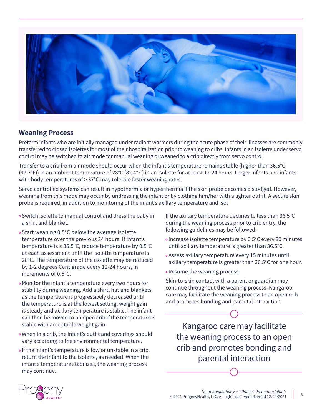

#### **Weaning Process**

Preterm infants who are initially managed under radiant warmers during the acute phase of their illnesses are commonly transferred to closed isolettes for most of their hospitalization prior to weaning to cribs. Infants in an isolette under servo control may be switched to air mode for manual weaning or weaned to a crib directly from servo control.

Transfer to a crib from air mode should occur when the infant's temperature remains stable (higher than 36.5°C (97.7°F)) in an ambient temperature of 28°C (82.4°F ) in an isolette for at least 12-24 hours. Larger infants and infants with body temperatures of > 37°C may tolerate faster weaning rates.

Servo controlled systems can result in hypothermia or hyperthermia if the skin probe becomes dislodged. However, weaning from this mode may occur by undressing the infant or by clothing him/her with a lighter outfit. A secure skin probe is required, in addition to monitoring of the infant's axillary temperature and isol

- Switch isolette to manual control and dress the baby in a shirt and blanket.
- Start weaning 0.5°C below the average isolette temperature over the previous 24 hours. If infant's temperature is ≥ 36.5°C, reduce temperature by 0.5°C at each assessment until the isolette temperature is 28°C. The temperature of the isolette may be reduced by 1-2 degrees Centigrade every 12-24 hours, in increments of 0.5°C.
- Monitor the infant's temperature every two hours for stability during weaning. Add a shirt, hat and blankets as the temperature is progressively decreased until the temperature is at the lowest setting, weight gain is steady and axillary temperature is stable. The infant can then be moved to an open crib if the temperature is stable with acceptable weight gain.
- When in a crib, the infant's outfit and coverings should vary according to the environmental temperature.
- If the infant's temperature is low or unstable in a crib, return the infant to the isolette, as needed. When the infant's temperature stabilizes, the weaning process may continue.

If the axillary temperature declines to less than 36.5°C during the weaning process prior to crib entry, the following guidelines may be followed:

- Increase isolette temperature by 0.5°C every 30 minutes until axillary temperature is greater than 36.5°C.
- Assess axillary temperature every 15 minutes until axillary temperature is greater than 36.5°C for one hour.
- Resume the weaning process.

Skin-to-skin contact with a parent or guardian may continue throughout the weaning process. Kangaroo care may facilitate the weaning process to an open crib and promotes bonding and parental interaction.

Kangaroo care may facilitate the weaning process to an open crib and promotes bonding and parental interaction